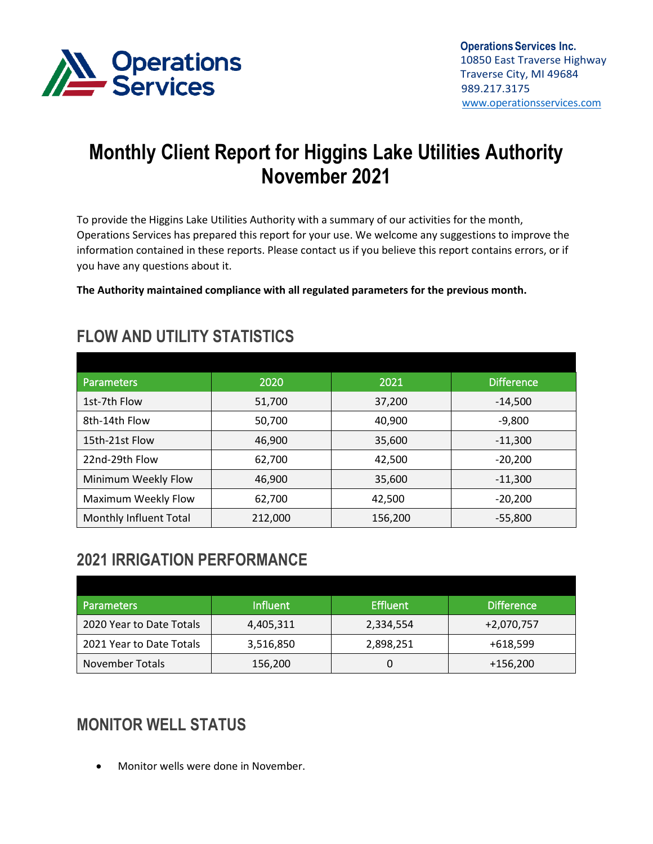

# **Monthly Client Report for Higgins Lake Utilities Authority November 2021**

To provide the Higgins Lake Utilities Authority with a summary of our activities for the month, Operations Services has prepared this report for your use. We welcome any suggestions to improve the information contained in these reports. Please contact us if you believe this report contains errors, or if you have any questions about it.

**The Authority maintained compliance with all regulated parameters for the previous month.**

| <b>Parameters</b>      | 2020    | 2021    | <b>Difference</b> |
|------------------------|---------|---------|-------------------|
| 1st-7th Flow           | 51,700  | 37,200  | $-14,500$         |
| 8th-14th Flow          | 50,700  | 40,900  | $-9.800$          |
| 15th-21st Flow         | 46,900  | 35,600  | $-11,300$         |
| 22nd-29th Flow         | 62,700  | 42,500  | $-20,200$         |
| Minimum Weekly Flow    | 46,900  | 35,600  | $-11,300$         |
| Maximum Weekly Flow    | 62,700  | 42,500  | $-20.200$         |
| Monthly Influent Total | 212,000 | 156,200 | $-55,800$         |

### **FLOW AND UTILITY STATISTICS**

## **2021 IRRIGATION PERFORMANCE**

| <b>Parameters</b>        | <b>Influent</b> | <b>Effluent</b> | <b>Difference</b> |
|--------------------------|-----------------|-----------------|-------------------|
| 2020 Year to Date Totals | 4,405,311       | 2,334,554       | +2,070,757        |
| 2021 Year to Date Totals | 3,516,850       | 2,898,251       | +618,599          |
| <b>November Totals</b>   | 156,200         |                 | +156,200          |

# **MONITOR WELL STATUS**

• Monitor wells were done in November.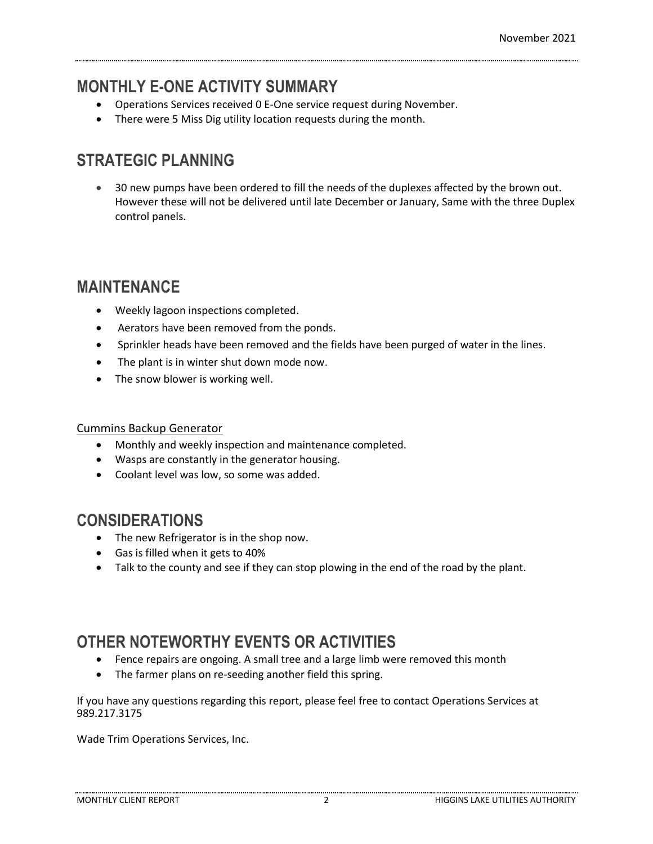#### **MONTHLY E-ONE ACTIVITY SUMMARY**

- Operations Services received 0 E-One service request during November.
- There were 5 Miss Dig utility location requests during the month.

# **STRATEGIC PLANNING**

• 30 new pumps have been ordered to fill the needs of the duplexes affected by the brown out. However these will not be delivered until late December or January, Same with the three Duplex control panels.

#### **MAINTENANCE**

- Weekly lagoon inspections completed.
- Aerators have been removed from the ponds.
- Sprinkler heads have been removed and the fields have been purged of water in the lines.
- The plant is in winter shut down mode now.
- The snow blower is working well.

#### Cummins Backup Generator

- Monthly and weekly inspection and maintenance completed.
- Wasps are constantly in the generator housing.
- Coolant level was low, so some was added.

#### **CONSIDERATIONS**

- The new Refrigerator is in the shop now.
- Gas is filled when it gets to 40%
- Talk to the county and see if they can stop plowing in the end of the road by the plant.

# **OTHER NOTEWORTHY EVENTS OR ACTIVITIES**

- Fence repairs are ongoing. A small tree and a large limb were removed this month
- The farmer plans on re-seeding another field this spring.

If you have any questions regarding this report, please feel free to contact Operations Services at 989.217.3175

Wade Trim Operations Services, Inc.